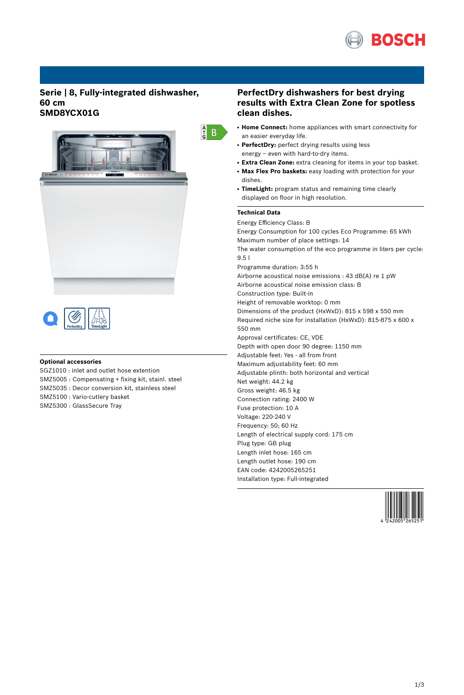

## **Serie | 8, Fully-integrated dishwasher, 60 cm SMD8YCX01G**





### **Optional accessories**

SGZ1010 : inlet and outlet hose extention SMZ5005 : Compensating + fixing kit, stainl. steel SMZ5035 : Decor conversion kit, stainless steel SMZ5100 : Vario-cutlery basket SMZ5300 : GlassSecure Tray

## **PerfectDry dishwashers for best drying results with Extra Clean Zone for spotless clean dishes.**

- **Home Connect:** home appliances with smart connectivity for an easier everyday life.
- PerfectDry: perfect drying results using less energy – even with hard-to-dry items.
- **Extra Clean Zone:** extra cleaning for items in your top basket.
- **Max Flex Pro baskets:** easy loading with protection for your dishes.
- **TimeLight:** program status and remaining time clearly displayed on floor in high resolution.

### **Technical Data**

 $\frac{A}{G}$  B

Energy Efficiency Class: B Energy Consumption for 100 cycles Eco Programme: 65 kWh Maximum number of place settings: 14 The water consumption of the eco programme in liters per cycle: 9.5 l Programme duration: 3:55 h Airborne acoustical noise emissions : 43 dB(A) re 1 pW Airborne acoustical noise emission class: B Construction type: Built-in Height of removable worktop: 0 mm Dimensions of the product (HxWxD): 815 x 598 x 550 mm Required niche size for installation (HxWxD): 815-875 x 600 x 550 mm Approval certificates: CE, VDE Depth with open door 90 degree: 1150 mm Adjustable feet: Yes - all from front Maximum adjustability feet: 60 mm Adjustable plinth: both horizontal and vertical Net weight: 44.2 kg Gross weight: 46.5 kg Connection rating: 2400 W Fuse protection: 10 A Voltage: 220-240 V Frequency: 50; 60 Hz Length of electrical supply cord: 175 cm Plug type: GB plug Length inlet hose: 165 cm Length outlet hose: 190 cm EAN code: 4242005265251 Installation type: Full-integrated

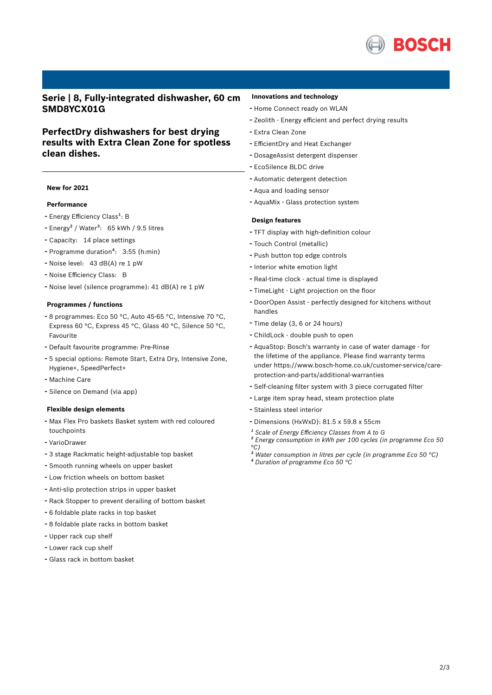

## **Serie | 8, Fully-integrated dishwasher, 60 cm SMD8YCX01G**

# **PerfectDry dishwashers for best drying results with Extra Clean Zone for spotless clean dishes.**

### **New for 2021**

### **Performance**

- Energy Efficiency Class<sup>1</sup>: B
- Energy<sup>2</sup> / Water<sup>3</sup>: 65 kWh / 9.5 litres
- Capacity: <sup>14</sup> place settings
- Programme duration<sup>4</sup>: 3:55 (h:min)
- Noise level: <sup>43</sup> dB(A) re <sup>1</sup> pW
- Noise Efficiency Class: <sup>B</sup>
- Noise level (silence programme): <sup>41</sup> dB(A) re <sup>1</sup> pW

#### **Programmes / functions**

- <sup>8</sup> programmes: Eco <sup>50</sup> °C, Auto 45-65 °C, Intensive <sup>70</sup> °C, Express 60 °C, Express 45 °C, Glass 40 °C, Silence 50 °C, Favourite
- Default favourite programme: Pre-Rinse
- <sup>5</sup> special options: Remote Start, Extra Dry, Intensive Zone, Hygiene+, SpeedPerfect+
- Machine Care
- Silence on Demand (via app)

#### **Flexible design elements**

- Max Flex Pro baskets Basket system with red coloured touchpoints
- VarioDrawer
- <sup>3</sup> stage Rackmatic height-adjustable top basket
- Smooth running wheels on upper basket
- Low friction wheels on bottom basket
- Anti-slip protection strips in upper basket
- Rack Stopper to prevent derailing of bottom basket
- <sup>6</sup> foldable plate racks in top basket
- <sup>8</sup> foldable plate racks in bottom basket
- Upper rack cup shelf
- Lower rack cup shelf
- Glass rack in bottom basket

### **Innovations and technology**

- Home Connect ready on WLAN
- Zeolith Energy efficient and perfect drying results
- Extra Clean Zone
- EfficientDry and Heat Exchanger
- DosageAssist detergent dispenser
- EcoSilence BLDC drive
- Automatic detergent detection
- Aqua and loading sensor
- AquaMix Glass protection system

#### **Design features**

- TFT display with high-definition colour
- Touch Control (metallic)
- Push button top edge controls
- Interior white emotion light
- Real-time clock actual time is displayed
- TimeLight Light projection on the floor
- DoorOpen Assist perfectly designed for kitchens without handles
- Time delay (3, <sup>6</sup> or <sup>24</sup> hours)
- ChildLock double push to open
- AquaStop: Bosch's warranty in case of water damage for the lifetime of the appliance. Please find warranty terms under https://www.bosch-home.co.uk/customer-service/careprotection-and-parts/additional-warranties
- Self-cleaning filter system with <sup>3</sup> piece corrugated filter
- Large item spray head, steam protection plate
- Stainless steel interior
- Dimensions (HxWxD): 81.5 x 59.8 x 55cm
- *¹ Scale of Energy Efficiency Classes from A to G*
- *² Energy consumption in kWh per 100 cycles (in programme Eco 50 °C)*
- *³ Water consumption in litres per cycle (in programme Eco 50 °C) ⁴ Duration of programme Eco 50 °C*